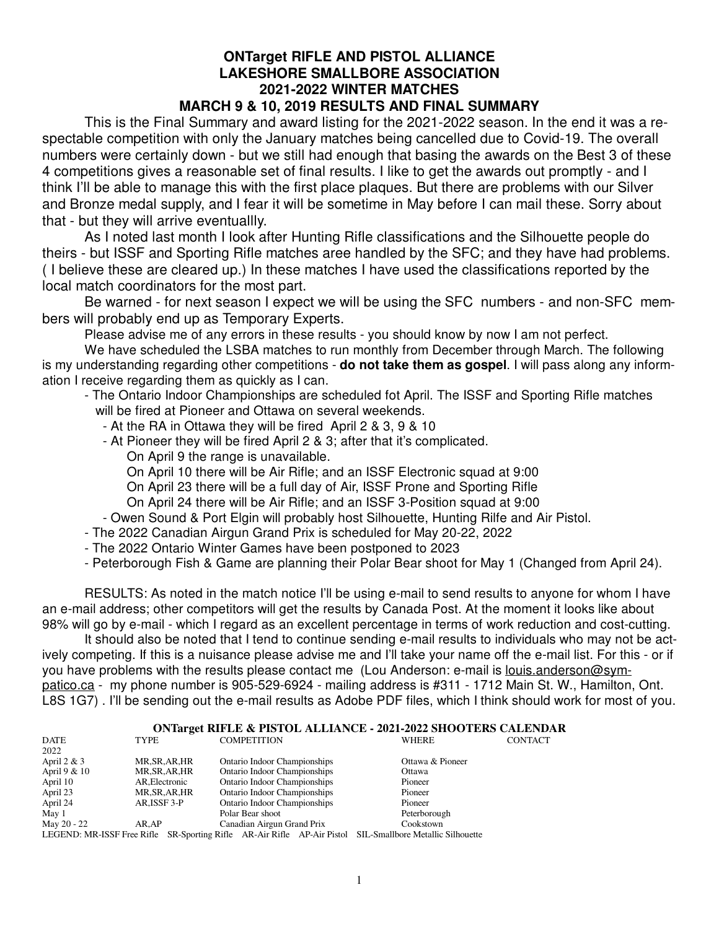#### **ONTarget RIFLE AND PISTOL ALLIANCE LAKESHORE SMALLBORE ASSOCIATION 2021-2022 WINTER MATCHES MARCH 9 & 10, 2019 RESULTS AND FINAL SUMMARY**

This is the Final Summary and award listing for the 2021-2022 season. In the end it was a respectable competition with only the January matches being cancelled due to Covid-19. The overall numbers were certainly down - but we still had enough that basing the awards on the Best 3 of these 4 competitions gives a reasonable set of final results. I like to get the awards out promptly - and I think I'll be able to manage this with the first place plaques. But there are problems with our Silver and Bronze medal supply, and I fear it will be sometime in May before I can mail these. Sorry about that - but they will arrive eventuallly.

As I noted last month I look after Hunting Rifle classifications and the Silhouette people do theirs - but ISSF and Sporting Rifle matches aree handled by the SFC; and they have had problems. ( I believe these are cleared up.) In these matches I have used the classifications reported by the local match coordinators for the most part.

Be warned - for next season I expect we will be using the SFC numbers - and non-SFC members will probably end up as Temporary Experts.

Please advise me of any errors in these results - you should know by now I am not perfect.

We have scheduled the LSBA matches to run monthly from December through March. The following is my understanding regarding other competitions - **do not take them as gospel**. I will pass along any information I receive regarding them as quickly as I can.

- The Ontario Indoor Championships are scheduled fot April. The ISSF and Sporting Rifle matches will be fired at Pioneer and Ottawa on several weekends.
	- At the RA in Ottawa they will be fired April 2 & 3, 9 & 10
	- At Pioneer they will be fired April 2 & 3; after that it's complicated.
		- On April 9 the range is unavailable.
		- On April 10 there will be Air Rifle; and an ISSF Electronic squad at 9:00
		- On April 23 there will be a full day of Air, ISSF Prone and Sporting Rifle
		- On April 24 there will be Air Rifle; and an ISSF 3-Position squad at 9:00
	- Owen Sound & Port Elgin will probably host Silhouette, Hunting Rilfe and Air Pistol.
- The 2022 Canadian Airgun Grand Prix is scheduled for May 20-22, 2022
- The 2022 Ontario Winter Games have been postponed to 2023
- Peterborough Fish & Game are planning their Polar Bear shoot for May 1 (Changed from April 24).

RESULTS: As noted in the match notice I'll be using e-mail to send results to anyone for whom I have an e-mail address; other competitors will get the results by Canada Post. At the moment it looks like about 98% will go by e-mail - which I regard as an excellent percentage in terms of work reduction and cost-cutting.

It should also be noted that I tend to continue sending e-mail results to individuals who may not be actively competing. If this is a nuisance please advise me and I'll take your name off the e-mail list. For this - or if you have problems with the results please contact me (Lou Anderson: e-mail is <u>louis.anderson@sym-</u> patico.ca - my phone number is 905-529-6924 - mailing address is #311 - 1712 Main St. W., Hamilton, Ont. L8S 1G7) . I'll be sending out the e-mail results as Adobe PDF files, which I think should work for most of you.

# **ONTarget RIFLE & PISTOL ALLIANCE - 2021-2022 SHOOTERS CALENDAR**<br>COMPETITION WHERE CONTACT

| DATE          | <b>TYPE</b>    | <b>COMPETITION</b>                                                                                        | WHERE            | <b>CONTACT</b> |
|---------------|----------------|-----------------------------------------------------------------------------------------------------------|------------------|----------------|
| 2022          |                |                                                                                                           |                  |                |
| April $2 & 3$ | MR, SR, AR, HR | Ontario Indoor Championships                                                                              | Ottawa & Pioneer |                |
| April 9 & 10  | MR,SR,AR,HR    | <b>Ontario Indoor Championships</b>                                                                       | Ottawa           |                |
| April 10      | AR, Electronic | <b>Ontario Indoor Championships</b>                                                                       | Pioneer          |                |
| April 23      | MR,SR,AR,HR    | <b>Ontario Indoor Championships</b>                                                                       | Pioneer          |                |
| April 24      | AR, ISSF 3-P   | <b>Ontario Indoor Championships</b>                                                                       | Pioneer          |                |
| May 1         |                | Polar Bear shoot                                                                                          | Peterborough     |                |
| May 20 - 22   | AR.AP          | Canadian Airgun Grand Prix                                                                                | Cookstown        |                |
|               |                | LEGEND: MR-ISSF Free Rifle SR-Sporting Rifle AR-Air Rifle AP-Air Pistol SIL-Smallbore Metallic Silhouette |                  |                |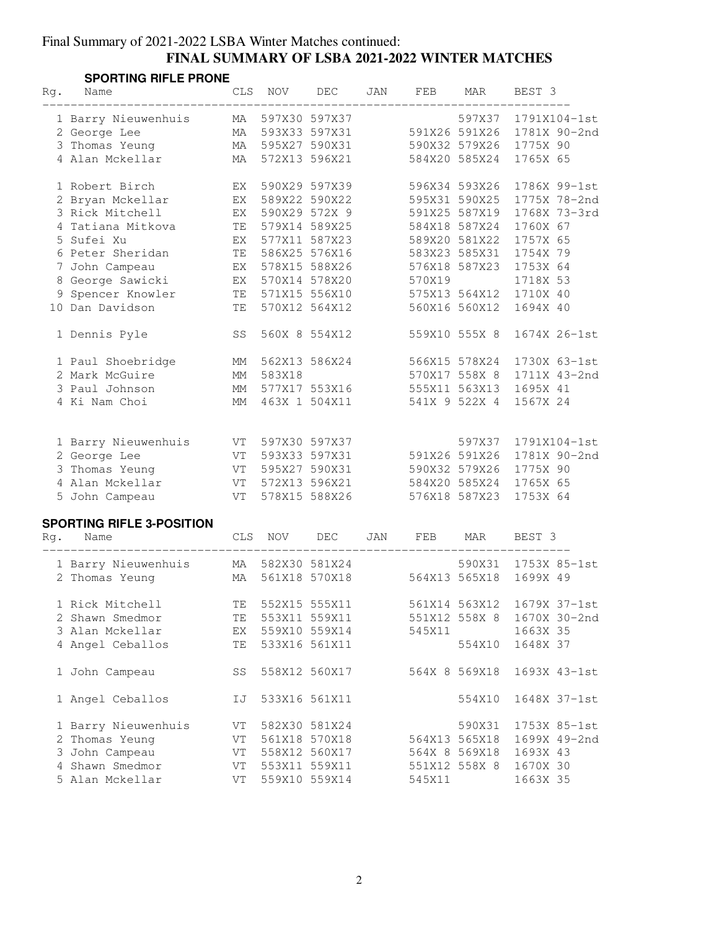### Final Summary of 2021-2022 LSBA Winter Matches continued: **FINAL SUMMARY OF LSBA 2021-2022 WINTER MATCHES**

#### **SPORTING RIFLE PRONE SPURTING RIFLE PRUNE**<br>Rg. Name CLS NOV DEC JAN FEB MAR BEST 3

| ĸg. | Name                                | جبانا      | <b>NOV</b>                     | DEC              | UAN | F ER   | MAR                                  | REPI ?   |              |
|-----|-------------------------------------|------------|--------------------------------|------------------|-----|--------|--------------------------------------|----------|--------------|
|     | 1 Barry Nieuwenhuis<br>2 George Lee | MA<br>MA   | 597X30 597X37<br>593X33 597X31 |                  |     |        | 597X37 1791X104-1st<br>591X26 591X26 |          | 1781X 90-2nd |
|     | 3 Thomas Yeung                      | MA         |                                | 595X27 590X31    |     |        | 590X32 579X26                        | 1775X 90 |              |
|     | 4 Alan Mckellar                     | MA         | 572X13 596X21                  |                  |     |        | 584X20 585X24                        | 1765X 65 |              |
|     |                                     |            |                                |                  |     |        |                                      |          |              |
|     | 1 Robert Birch                      | EX         | 590X29 597X39                  |                  |     |        | 596X34 593X26                        |          | 1786X 99-1st |
|     | 2 Bryan Mckellar                    | EX         | 589X22 590X22                  |                  |     |        | 595X31 590X25                        |          | 1775X 78-2nd |
|     | 3 Rick Mitchell                     | EX         | 590X29 572X 9                  |                  |     |        | 591X25 587X19                        |          | 1768X 73-3rd |
|     | 4 Tatiana Mitkova                   | TE         | 579X14 589X25                  |                  |     |        | 584X18 587X24                        | 1760X 67 |              |
|     | 5 Sufei Xu                          | EX         | 577X11 587X23                  |                  |     |        | 589X20 581X22                        | 1757X 65 |              |
|     | 6 Peter Sheridan                    | TE         | 586X25 576X16                  |                  |     |        | 583X23 585X31                        | 1754X 79 |              |
|     | 7 John Campeau                      | EX         | 578X15 588X26                  |                  |     |        | 576X18 587X23                        | 1753X 64 |              |
|     | 8 George Sawicki                    | EX         | 570X14 578X20                  |                  |     | 570X19 |                                      | 1718X 53 |              |
|     | 9 Spencer Knowler                   | TE         | 571X15 556X10                  |                  |     |        | 575X13 564X12                        | 1710X 40 |              |
|     | 10 Dan Davidson                     | TΕ         | 570X12 564X12                  |                  |     |        | 560X16 560X12                        | 1694X 40 |              |
|     | 1 Dennis Pyle                       | SS         | 560X 8 554X12                  |                  |     |        | 559X10 555X 8                        |          | 1674X 26-1st |
|     | 1 Paul Shoebridge                   | MM         | 562X13 586X24                  |                  |     |        | 566X15 578X24                        |          | 1730X 63-1st |
|     | 2 Mark McGuire                      | MM         | 583X18                         |                  |     |        | 570X17 558X 8                        |          | 1711X 43-2nd |
|     | 3 Paul Johnson                      | MM         |                                | 577X17 553X16    |     |        | 555X11 563X13                        | 1695X 41 |              |
|     | 4 Ki Nam Choi                       | MM         |                                | 463X 1 504X11    |     |        | 541X 9 522X 4                        | 1567X 24 |              |
|     |                                     |            |                                |                  |     |        |                                      |          |              |
|     | 1 Barry Nieuwenhuis                 |            | VT 597X30 597X37               |                  |     |        | 597X37                               |          | 1791X104-1st |
|     | 2 George Lee                        |            | VT 593X33 597X31               |                  |     |        | 591X26 591X26                        |          | 1781X 90-2nd |
|     | 3 Thomas Yeung                      |            | VT 595X27 590X31               |                  |     |        | 590X32 579X26                        | 1775X 90 |              |
|     | 4 Alan Mckellar                     |            | VT 572X13 596X21               |                  |     |        | 584X20 585X24                        | 1765X 65 |              |
|     | 5 John Campeau                      | VT         | 578X15 588X26                  |                  |     |        | 576X18 587X23                        | 1753X 64 |              |
|     | <b>SPORTING RIFLE 3-POSITION</b>    |            |                                |                  |     |        |                                      |          |              |
| Rq. | Name                                | <b>CLS</b> | <b>NOV</b>                     | DEC              | JAN | FEB    | MAR                                  | BEST 3   |              |
|     |                                     |            |                                |                  |     |        |                                      |          |              |
|     | 1 Barry Nieuwenhuis                 | MA         |                                | 582X30 581X24    |     |        | 590X31                               |          | 1753X 85-1st |
|     | 2 Thomas Yeung                      | MA         |                                | 561X18 570X18    |     |        | 564X13 565X18                        | 1699X 49 |              |
|     | 1 Rick Mitchell                     | TΕ         | 552X15 555X11                  |                  |     |        | 561X14 563X12                        |          | 1679X 37-1st |
|     | 2 Shawn Smedmor                     |            |                                | TE 553X11 559X11 |     |        | 551X12 558X 8 1670X 30-2nd           |          |              |
|     | 3 Alan Mckellar                     | EX         | 559X10 559X14                  |                  |     | 545X11 |                                      | 1663X 35 |              |
|     | 4 Angel Ceballos                    | TE         | 533X16 561X11                  |                  |     |        | 554X10                               | 1648X 37 |              |
|     |                                     |            |                                |                  |     |        |                                      |          |              |
|     | 1 John Campeau                      | SS         |                                | 558X12 560X17    |     |        | 564X 8 569X18                        |          | 1693X 43-1st |
|     | 1 Angel Ceballos                    | IJ         | 533X16 561X11                  |                  |     |        | 554X10                               |          | 1648X 37-1st |
|     | 1 Barry Nieuwenhuis                 | VT         | 582X30 581X24                  |                  |     |        | 590X31                               |          | 1753X 85-1st |
|     | 2 Thomas Yeung                      |            | VT 561X18 570X18               |                  |     |        | 564X13 565X18                        |          | 1699X 49-2nd |
|     | 3 John Campeau                      |            | VT 558X12 560X17               |                  |     |        | 564X 8 569X18                        | 1693X 43 |              |
|     | 4 Shawn Smedmor                     | VT         | 553X11 559X11                  |                  |     |        | 551X12 558X 8                        | 1670X 30 |              |
|     | 5 Alan Mckellar                     | VT         | 559X10 559X14                  |                  |     | 545X11 |                                      | 1663X 35 |              |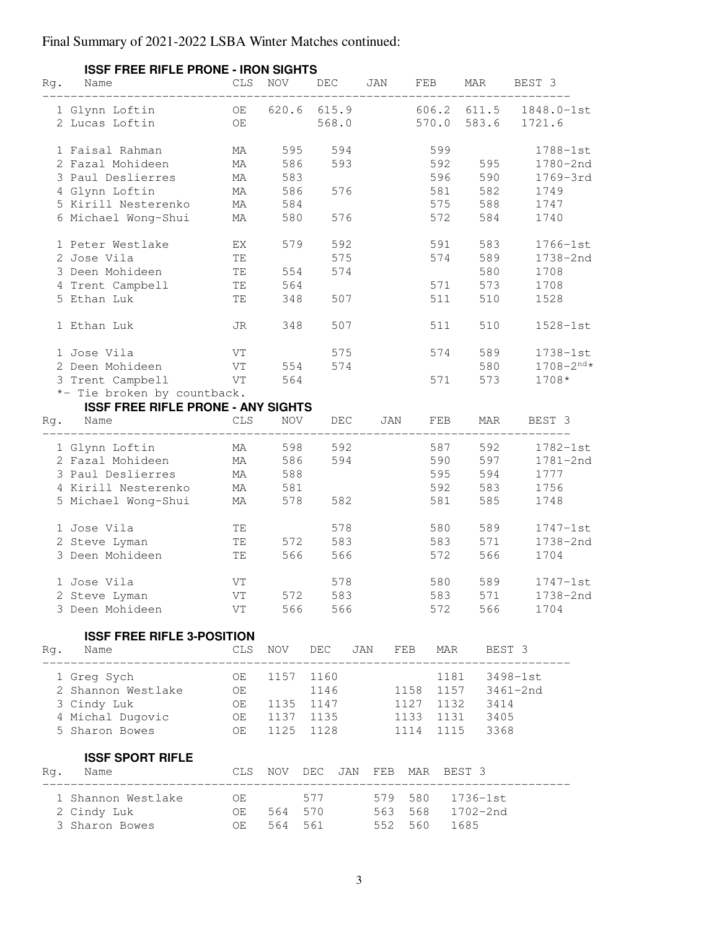|     | <b>ISSF FREE RIFLE PRONE - IRON SIGHTS</b> |            |            |                 |     |              |               |                  |
|-----|--------------------------------------------|------------|------------|-----------------|-----|--------------|---------------|------------------|
| Rg. | Name                                       | CLS.       | <b>NOV</b> | DEC             | JAN | FEB          | MAR           | BEST 3           |
|     | 1 Glynn Loftin                             | OE         |            | 620.6 615.9     |     | 606.2 611.5  |               | 1848.0-1st       |
|     | 2 Lucas Loftin                             | OE         |            | 568.0           |     | 570.0        | 583.6         | 1721.6           |
|     |                                            |            |            |                 |     |              |               |                  |
|     | 1 Faisal Rahman                            | MA         | 595        | 594             |     | 599          |               | 1788-1st         |
|     | 2 Fazal Mohideen                           | МA         | 586        | 593             |     | 592          | 595           | 1780-2nd         |
|     | 3 Paul Deslierres                          | МA         | 583        |                 |     | 596          | 590           | 1769-3rd         |
|     | 4 Glynn Loftin                             | МA         | 586        | 576             |     | 581          | 582           | 1749             |
|     | 5 Kirill Nesterenko                        | МA         | 584        |                 |     | 575          | 588           | 1747             |
|     | 6 Michael Wong-Shui                        | МA         | 580        | 576             |     | 572          | 584           | 1740             |
|     | 1 Peter Westlake                           | EX         | 579        | 592             |     | 591          | 583           | 1766-1st         |
|     | 2 Jose Vila                                | TE         |            | 575             |     | 574          | 589           | 1738-2nd         |
|     | 3 Deen Mohideen                            | TE         | 554        | 574             |     |              | 580           | 1708             |
|     | 4 Trent Campbell                           | TE         | 564        |                 |     | 571          | 573           | 1708             |
|     | 5 Ethan Luk                                | TE         | 348        | 507             |     | 511          | 510           | 1528             |
|     | 1 Ethan Luk                                | JR         | 348        | 507             |     | 511          | 510           | $1528 - 1st$     |
|     | 1 Jose Vila                                | VT         |            | 575             |     | 574          | 589           | 1738-1st         |
|     | 2 Deen Mohideen                            | VT         | 554        | 574             |     |              | 580           | $1708 - 2^{nd*}$ |
|     | 3 Trent Campbell                           | VT         | 564        |                 |     | 571          | 573           | 1708*            |
|     | *- Tie broken by countback.                |            |            |                 |     |              |               |                  |
|     | <b>ISSF FREE RIFLE PRONE - ANY SIGHTS</b>  |            |            |                 |     |              |               |                  |
| Rq. | Name                                       | CLS        | <b>NOV</b> | DEC             | JAN | FEB          | MAR           | BEST 3           |
|     |                                            |            |            |                 |     |              |               |                  |
|     | 1 Glynn Loftin                             | МA         | 598        | 592             |     | 587          | 592           | 1782-1st         |
|     | 2 Fazal Mohideen                           | МA         | 586        | 594             |     | 590          | 597           | 1781-2nd         |
|     | 3 Paul Deslierres                          | МA         | 588        |                 |     | 595          | 594           | 1777             |
|     | 4 Kirill Nesterenko                        | MA         | 581        |                 |     | 592          | 583           | 1756             |
|     | 5 Michael Wong-Shui                        | МA         | 578        | 582             |     | 581          | 585           | 1748             |
|     | 1 Jose Vila                                | TE         |            | 578             |     | 580          | 589           | $1747 - 1st$     |
|     | 2 Steve Lyman                              | TΕ         | 572        | 583             |     | 583          | 571           | 1738-2nd         |
|     | 3 Deen Mohideen                            | TE         | 566        | 566             |     | 572          | 566           | 1704             |
|     | 1 Jose Vila                                | VT         |            | 578             |     | 580          | 589           | $1747 - 1st$     |
|     | 2 Steve Lyman MT 572 583 583 571 1738-2nd  |            |            |                 |     |              |               |                  |
|     | 3 Deen Mohideen                            | VT         |            | 566 566         |     | 572          | 566 10        | 1704             |
|     |                                            |            |            |                 |     |              |               |                  |
| Rg. | <b>ISSF FREE RIFLE 3-POSITION</b><br>Name  | <b>CLS</b> |            | NOV DEC         |     | JAN FEB MAR  | BEST 3        |                  |
|     |                                            |            |            |                 |     |              |               |                  |
|     | 1 Greg Sych                                | OE         | 1157       | 1160            |     | 1181         |               | 3498-1st         |
|     | 2 Shannon Westlake                         | OE         |            | 1146            |     | 1158         | 1157 3461-2nd |                  |
|     | 3 Cindy Luk                                |            |            | OE 1135 1147    |     | 1127         | 1132 3414     |                  |
|     | 4 Michal Dugovic                           |            |            | OE 1137 1135    |     | 1133         | 1131 3405     |                  |
|     | 5 Sharon Bowes                             | OE         |            | 1125 1128       |     | 1114         | 1115 3368     |                  |
|     | <b>ISSF SPORT RIFLE</b>                    |            |            |                 |     |              |               |                  |
| Rq. | Name                                       | CLS        |            | NOV DEC JAN FEB |     | MAR          | BEST 3        |                  |
|     | 1 Shannon Westlake                         | OE         |            | 577             | 579 | 580 1736-1st |               |                  |
|     | 2 Cindy Luk                                |            | OE 564     | 570             | 563 | 568 1702-2nd |               |                  |
|     | 3 Sharon Bowes                             |            | OE 564     | 561             | 552 | 560          | 1685          |                  |

# **ISSF FREE RIFLE PRONE - IRON SIGHTS**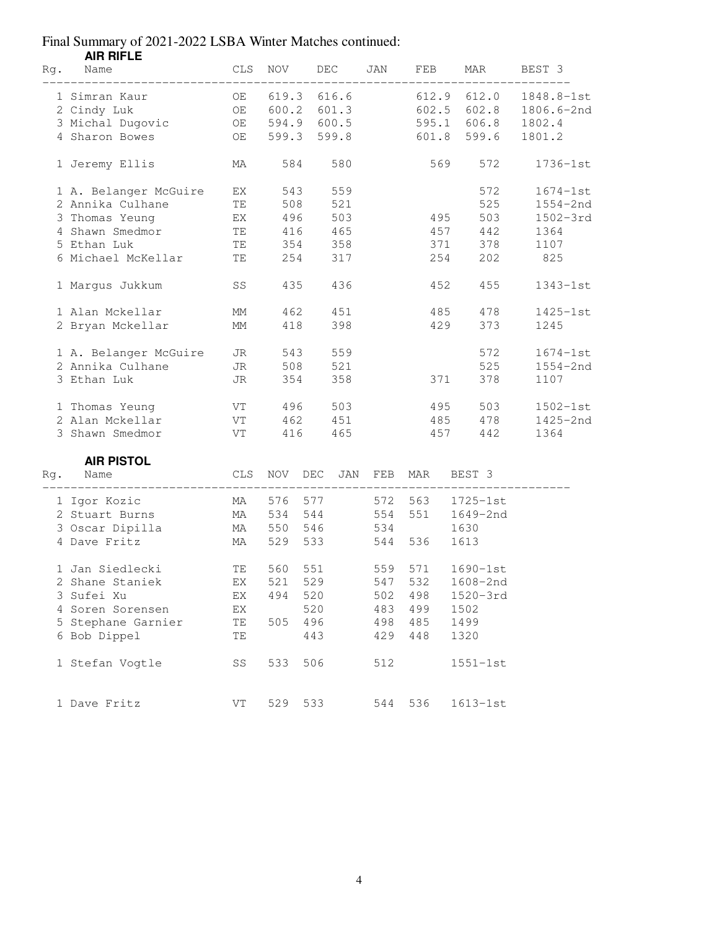|     | <b>AIR RIFLE</b>      |                                                                                                                                                                                                                                |             |     |       |     |       |     |              |              |  |
|-----|-----------------------|--------------------------------------------------------------------------------------------------------------------------------------------------------------------------------------------------------------------------------|-------------|-----|-------|-----|-------|-----|--------------|--------------|--|
| Rg. | Name                  | CLS                                                                                                                                                                                                                            | <b>NOV</b>  |     | DEC   | JAN | FEB   |     | MAR          | BEST 3       |  |
|     | 1 Simran Kaur         | OE                                                                                                                                                                                                                             | 619.3       |     | 616.6 |     | 612.9 |     | 612.0        | 1848.8-1st   |  |
|     | 2 Cindy Luk           | OE                                                                                                                                                                                                                             | 600.2       |     | 601.3 |     | 602.5 |     | 602.8        | 1806.6-2nd   |  |
|     | 3 Michal Dugovic      | OE                                                                                                                                                                                                                             | 594.9 600.5 |     |       |     | 595.1 |     | 606.8        | 1802.4       |  |
|     | 4 Sharon Bowes        | OE                                                                                                                                                                                                                             | 599.3       |     | 599.8 |     | 601.8 |     | 599.6        | 1801.2       |  |
|     | 1 Jeremy Ellis        | MA                                                                                                                                                                                                                             | 584         |     | 580   |     |       | 569 | 572          | $1736 - 1st$ |  |
|     | 1 A. Belanger McGuire | EX                                                                                                                                                                                                                             | 543         |     | 559   |     |       |     | 572          | $1674 - 1st$ |  |
|     | 2 Annika Culhane      | TΕ                                                                                                                                                                                                                             | 508         |     | 521   |     |       |     | 525          | $1554 - 2nd$ |  |
|     | 3 Thomas Yeung        | EX                                                                                                                                                                                                                             | 496         |     | 503   |     |       | 495 | 503          | $1502 - 3rd$ |  |
|     | 4 Shawn Smedmor       | TE                                                                                                                                                                                                                             | 416 465     |     |       |     |       | 457 | 442          | 1364         |  |
|     | 5 Ethan Luk           |                                                                                                                                                                                                                                | TE 354      |     | 358   |     |       | 371 | 378          | 1107         |  |
|     | 6 Michael McKellar    | TE                                                                                                                                                                                                                             | 254         |     | 317   |     |       | 254 | 202          | 825          |  |
|     | 1 Margus Jukkum       | SS                                                                                                                                                                                                                             | 435         |     | 436   |     |       | 452 | 455          | $1343 - 1st$ |  |
|     | 1 Alan Mckellar       | MМ                                                                                                                                                                                                                             | 462         |     | 451   |     |       | 485 | 478          | $1425 - 1st$ |  |
|     | 2 Bryan Mckellar      | MM                                                                                                                                                                                                                             | 418         |     | 398   |     | 429   |     | 373          | 1245         |  |
|     | 1 A. Belanger McGuire | JR                                                                                                                                                                                                                             | 543         |     | 559   |     |       |     | 572          | $1674-1st$   |  |
|     | 2 Annika Culhane      | JR                                                                                                                                                                                                                             | 508         |     | 521   |     |       |     | 525          | $1554 - 2nd$ |  |
|     | 3 Ethan Luk           | JR                                                                                                                                                                                                                             | 354         |     | 358   |     | 371   |     | 378          | 1107         |  |
|     | 1 Thomas Yeung        | VT and the set of the set of the set of the set of the set of the set of the set of the set of the set of the set of the set of the set of the set of the set of the set of the set of the set of the set of the set of the se | 496         |     | 503   |     |       | 495 | 503          | $1502 - 1st$ |  |
|     | 2 Alan Mckellar       | VT                                                                                                                                                                                                                             | 462         |     | 451   |     |       | 485 | 478          | 1425-2nd     |  |
|     | 3 Shawn Smedmor       | VT                                                                                                                                                                                                                             | 416         |     | 465   |     |       | 457 | 442          | 1364         |  |
|     | <b>AIR PISTOL</b>     |                                                                                                                                                                                                                                |             |     |       |     |       |     |              |              |  |
| Rg. | Name                  | CLS                                                                                                                                                                                                                            | NOV         | DEC | JAN   | FEB | MAR   |     | BEST 3       |              |  |
|     | 1 Igor Kozic          | MA                                                                                                                                                                                                                             | 576 577     |     |       | 572 | 563   |     | $1725 - 1st$ |              |  |
|     | 2 Stuart Burns        | MA                                                                                                                                                                                                                             | 534         | 544 |       | 554 | 551   |     | 1649-2nd     |              |  |
|     | 3 Oscar Dipilla       | MA                                                                                                                                                                                                                             | 550 546     |     |       | 534 |       |     | 1630         |              |  |
|     | 4 Dave Fritz          | MA                                                                                                                                                                                                                             | 529         | 533 |       | 544 | 536   |     | 1613         |              |  |
|     | 1 Jan Siedlecki       | TE                                                                                                                                                                                                                             | 560         | 551 |       | 559 | 571   |     | $1690 - 1st$ |              |  |
|     | 2 Shane Staniek       | ΕX                                                                                                                                                                                                                             | 521         | 529 |       | 547 | 532   |     | 1608-2nd     |              |  |
|     | 3 Sufei Xu            | EX                                                                                                                                                                                                                             | 494         | 520 |       | 502 | 498   |     | 1520-3rd     |              |  |
|     | 4 Soren Sorensen      | $\mathop{\rm EX}\nolimits$                                                                                                                                                                                                     |             | 520 |       | 483 | 499   |     | 1502         |              |  |
|     | 5 Stephane Garnier    | TE                                                                                                                                                                                                                             | 505         | 496 |       | 498 | 485   |     | 1499         |              |  |
|     | 6 Bob Dippel          | TΕ                                                                                                                                                                                                                             |             | 443 |       | 429 | 448   |     | 1320         |              |  |
|     | 1 Stefan Vogtle       | SS                                                                                                                                                                                                                             | 533         | 506 |       | 512 |       |     | $1551 - 1st$ |              |  |
|     | 1 Dave Fritz          | VT                                                                                                                                                                                                                             | 529         | 533 |       | 544 | 536   |     | $1613 - 1st$ |              |  |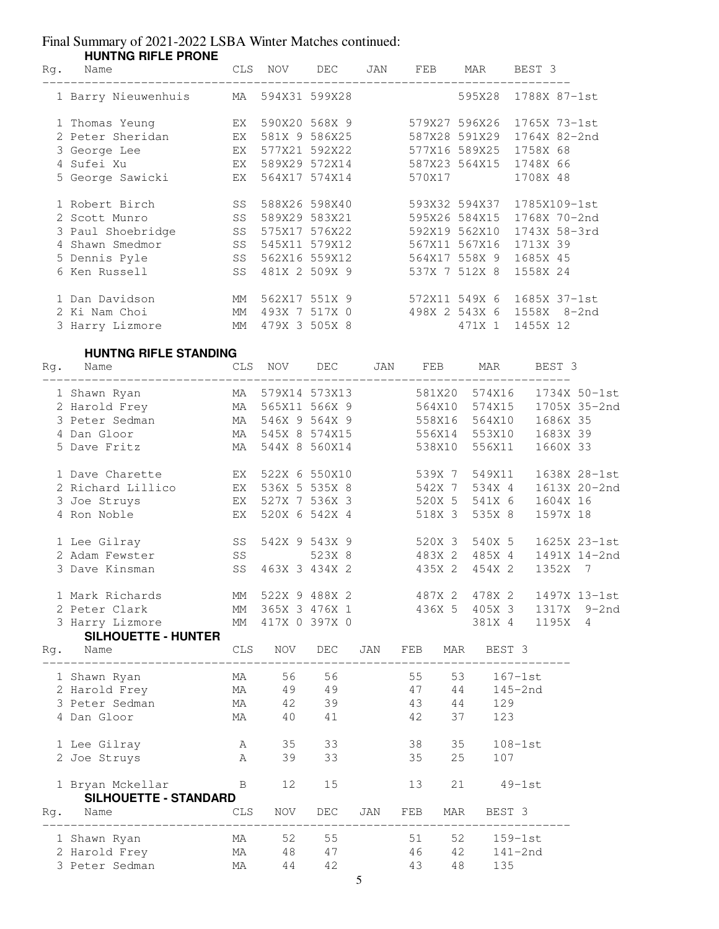|     | <b>HUNTNG RIFLE PRONE</b>        |                |               |                  |     |                                |        |               |                                            |              |
|-----|----------------------------------|----------------|---------------|------------------|-----|--------------------------------|--------|---------------|--------------------------------------------|--------------|
| Rg. | Name                             | <b>CLS</b>     | NOV           | DEC              | JAN | FEB                            | MAR    |               | BEST 3                                     |              |
|     | 1 Barry Nieuwenhuis              | МA             |               | 594X31 599X28    |     |                                | 595X28 |               | 1788X 87-1st                               |              |
|     | 1 Thomas Yeung                   | EX             |               | 590X20 568X 9    |     | 579X27 596X26                  |        |               | 1765X 73-1st                               |              |
|     | 2 Peter Sheridan                 | EX             | 581X 9 586X25 |                  |     | 587X28 591X29                  |        |               | 1764X 82-2nd                               |              |
|     | 3 George Lee                     | EX             |               | 577X21 592X22    |     | 577X16 589X25                  |        |               | 1758X 68                                   |              |
|     | 4 Sufei Xu                       | EX             |               | 589X29 572X14    |     | 587X23 564X15                  |        |               | 1748X 66                                   |              |
|     | 5 George Sawicki                 | EX             |               | 564X17 574X14    |     | 570X17                         |        |               | 1708X 48                                   |              |
|     |                                  |                |               |                  |     |                                |        |               |                                            |              |
|     | 1 Robert Birch                   | SS             |               | 588X26 598X40    |     | 593X32 594X37                  |        |               | 1785X109-1st                               |              |
|     | 2 Scott Munro                    | SS             | 589X29 583X21 |                  |     | 595X26 584X15                  |        |               | 1768X 70-2nd                               |              |
|     | 3 Paul Shoebridge                | SS             |               | 575X17 576X22    |     | 592X19 562X10                  |        |               | 1743X 58-3rd                               |              |
|     | 4 Shawn Smedmor                  | SS             |               | 545X11 579X12    |     | 567X11 567X16                  |        |               | 1713X 39                                   |              |
|     | 5 Dennis Pyle                    | SS             |               | 562X16 559X12    |     | 564X17 558X 9                  |        |               | 1685X 45                                   |              |
|     | 6 Ken Russell                    | SS             |               | 481X 2 509X 9    |     | 537X 7 512X 8                  |        |               | 1558X 24                                   |              |
|     | 1 Dan Davidson                   | МM             |               | 562X17 551X 9    |     | 572X11 549X 6                  |        |               | 1685X 37-1st                               |              |
|     | 2 Ki Nam Choi                    | MM             |               | 493X 7 517X 0    |     | 498X 2 543X 6                  |        |               | 1558X 8-2nd                                |              |
|     | 3 Harry Lizmore                  | МM             |               | 479X 3 505X 8    |     |                                | 471X 1 |               | 1455X 12                                   |              |
|     |                                  |                |               |                  |     |                                |        |               |                                            |              |
|     | <b>HUNTNG RIFLE STANDING</b>     |                |               |                  |     |                                |        |               |                                            |              |
| Rg. | Name                             | $\mathtt{CLS}$ | NOV           | DEC              | JAN | FEB                            |        | MAR           | BEST 3                                     |              |
|     | 1 Shawn Ryan                     | MA             | 579X14 573X13 |                  |     | 581X20                         |        | 574X16        |                                            | 1734X 50-1st |
|     | 2 Harold Frey                    | MA             | 565X11 566X 9 |                  |     | 564X10                         |        | 574X15        |                                            | 1705X 35-2nd |
|     | 3 Peter Sedman                   | MA             | 546X 9 564X 9 |                  |     | 558X16                         |        | 564X10        | 1686X 35                                   |              |
|     | 4 Dan Gloor                      | MA             |               | 545X 8 574X15    |     | 556X14                         |        | 553X10        | 1683X 39                                   |              |
|     | 5 Dave Fritz                     | MA             |               | 544X 8 560X14    |     | 538X10                         |        | 556X11        | 1660X 33                                   |              |
|     | 1 Dave Charette                  | EX             | 522X 6 550X10 |                  |     | 539X 7                         |        | 549X11        |                                            | 1638X 28-1st |
|     | 2 Richard Lillico                | EX             | 536X 5 535X 8 |                  |     | 542X 7                         |        | 534X 4        |                                            | 1613X 20-2nd |
|     | 3 Joe Struys                     | EX             |               | 527X 7 536X 3    |     | 520X 5                         |        | 541X 6        | 1604X 16                                   |              |
|     | 4 Ron Noble                      |                |               | 520X 6 542X 4    |     |                                |        | 535X 8        | 1597X 18                                   |              |
|     |                                  | EX             |               |                  |     | 518X 3                         |        |               |                                            |              |
|     | 1 Lee Gilray                     | SS             |               | 542X 9 543X 9    |     | 520X 3                         |        | 540X 5        |                                            | 1625X 23-1st |
|     | 2 Adam Fewster                   | SS             |               | 523X 8           |     | 483X 2                         |        | 485X 4        |                                            | 1491X 14-2nd |
|     | 3 Dave Kinsman                   | SS             |               | 463X 3 434X 2    |     | 435X 2                         |        | 454X 2        | 1352X                                      | 7            |
|     | 1 Mark Richards                  |                |               | MM 522X 9 488X 2 |     |                                |        |               | 487X 2 478X 2 1497X 13-1st                 |              |
|     | 2 Peter Clark                    |                |               |                  |     |                                |        |               | MM 365X 3 476X 1 436X 5 405X 3 1317X 9-2nd |              |
|     | 3 Harry Lizmore MM 417X 0 397X 0 |                |               |                  |     |                                |        | 381X 4        | 1195X 4                                    |              |
|     | <b>SILHOUETTE - HUNTER</b>       |                |               |                  |     |                                |        |               |                                            |              |
|     | Rg. Name                         |                |               |                  |     | CLS NOV DEC JAN FEB MAR BEST 3 |        |               |                                            |              |
|     | 1 Shawn Ryan                     |                | MA 56 56      |                  |     | 55 53 167-1st                  |        |               |                                            |              |
|     | 2 Harold Frey                    |                | MA 49 49      |                  |     | 47 44 145-2nd                  |        |               |                                            |              |
|     | 3 Peter Sedman                   |                |               | MA 42 39         |     | 43 44 129                      |        |               |                                            |              |
|     | 4 Dan Gloor                      | MA             | 40 41         |                  |     | 42 37 123                      |        |               |                                            |              |
|     | 1 Lee Gilray                     |                | 35            |                  |     | 38                             | 35     |               | $108-1st$                                  |              |
|     |                                  | A              |               |                  |     |                                |        |               |                                            |              |
|     | 2 Joe Struys                     | <b>A</b>       | 39            | 33               |     | 35                             |        | 25 107        |                                            |              |
|     | 1 Brvan Mckellar                 | $\overline{B}$ | 12            | 15               |     | 13                             |        | $21$ $49-1st$ |                                            |              |

|     | $\pm$ $\pm$ $\pm$ $\sqrt{2}$ $\pm$ $\pm$ $\sqrt{2}$ $\pm$ $\pm$ $\sqrt{2}$ $\pm$ $\pm$ $\sqrt{2}$ $\pm$ $\pm$ $\sqrt{2}$ $\pm$ $\pm$ $\sqrt{2}$ $\pm$ $\pm$ $\sqrt{2}$ $\pm$ $\pm$ $\sqrt{2}$ $\pm$ $\pm$ $\sqrt{2}$ $\pm$ $\pm$ $\sqrt{2}$ $\pm$ $\pm$ $\sqrt{2}$ $\pm$ $\pm$ $\sqrt{2}$<br><b>SILHOUETTE - STANDARD</b> |      |     |     |     |     |     |         |  |
|-----|---------------------------------------------------------------------------------------------------------------------------------------------------------------------------------------------------------------------------------------------------------------------------------------------------------------------------|------|-----|-----|-----|-----|-----|---------|--|
| Rq. | Name                                                                                                                                                                                                                                                                                                                      | CLS. | NOV | DEC | JAN | FEB | MAR | BEST 3  |  |
|     | 1 Shawn Ryan                                                                                                                                                                                                                                                                                                              | МA   | 52. | 55  |     | 51  | 52  | 159-1st |  |
|     | 2 Harold Frey                                                                                                                                                                                                                                                                                                             | МA   | 48  | 47  |     | 46  | 42  | 141-2nd |  |
|     | 3 Peter Sedman                                                                                                                                                                                                                                                                                                            | МA   | 44  | 42  |     | 43  | 48. | 135     |  |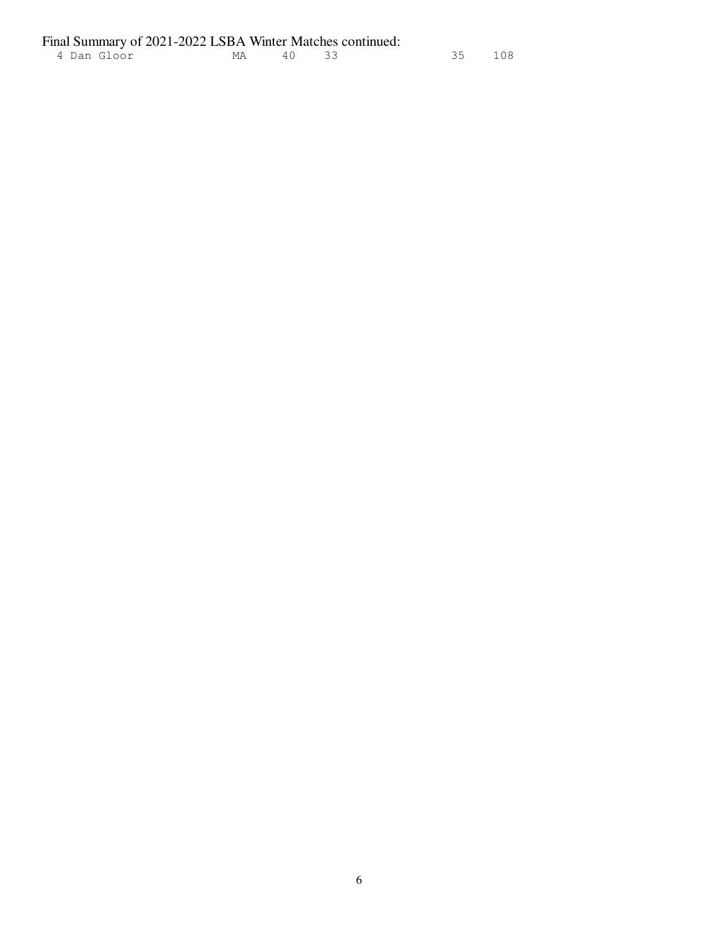|  |             | Final Summary of 2021-2022 LSBA Winter Matches continued: |          |  |        |
|--|-------------|-----------------------------------------------------------|----------|--|--------|
|  | 4 Dan Gloor |                                                           | MA 40 33 |  | 35 108 |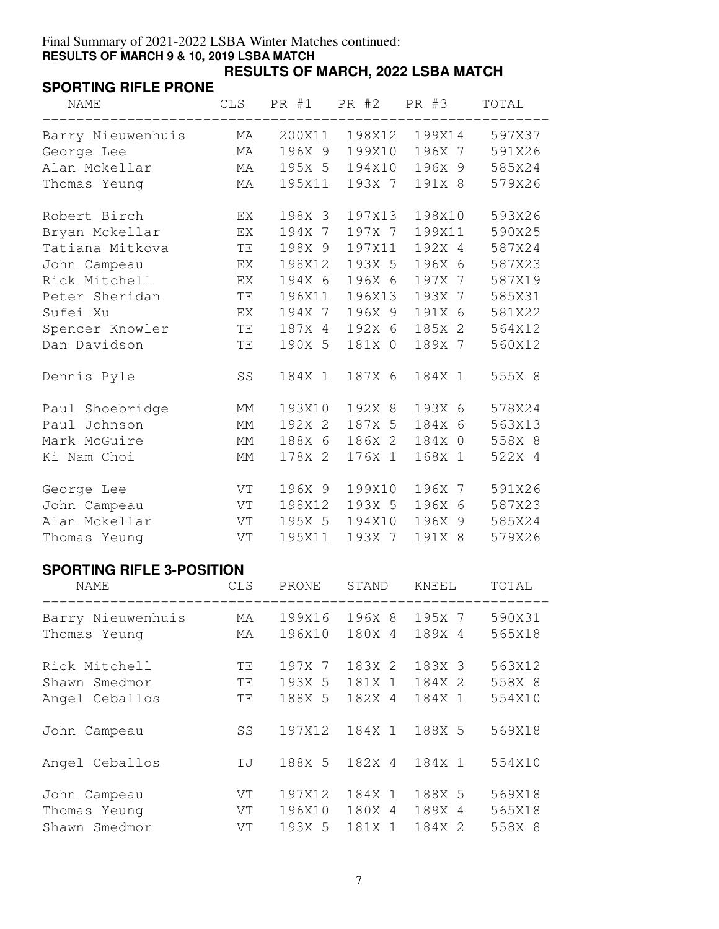#### Final Summary of 2021-2022 LSBA Winter Matches continued: **RESULTS OF MARCH 9 & 10, 2019 LSBA MATCH RESULTS OF MARCH, 2022 LSBA MATCH**

### **SPORTING RIFLE PRONE**

| <b>NAME</b>       | CLS |        | PR #1 PR #2 PR #3 |        | TOTAL  |
|-------------------|-----|--------|-------------------|--------|--------|
| Barry Nieuwenhuis | МA  | 200X11 | 198X12            | 199X14 | 597X37 |
| George Lee        | MA  | 196X 9 | 199X10            | 196X 7 | 591X26 |
| Alan Mckellar     | МA  | 195X 5 | 194X10            | 196X 9 | 585X24 |
| Thomas Yeung      | МA  | 195X11 | 193X 7            | 191X 8 | 579X26 |
| Robert Birch      | EX  | 198X 3 | 197X13            | 198X10 | 593X26 |
| Bryan Mckellar    | EX  | 194X 7 | 197X 7            | 199X11 | 590X25 |
| Tatiana Mitkova   | ΤE  | 198X 9 | 197X11            | 192X 4 | 587X24 |
| John Campeau      | EX  | 198X12 | 193X 5            | 196X 6 | 587X23 |
| Rick Mitchell     | EX  | 194X 6 | 196X 6            | 197X 7 | 587X19 |
| Peter Sheridan    | TE  | 196X11 | 196X13            | 193X 7 | 585X31 |
| Sufei Xu          | EX  | 194X 7 | 196X 9            | 191X 6 | 581X22 |
| Spencer Knowler   | TE  | 187X 4 | 192X 6            | 185X 2 | 564X12 |
| Dan Davidson      | TE  | 190X 5 | 181X 0            | 189X 7 | 560X12 |
| Dennis Pyle       | SS  | 184X 1 | 187X 6            | 184X 1 | 555X 8 |
| Paul Shoebridge   | МM  | 193X10 | 192X 8            | 193X 6 | 578X24 |
| Paul Johnson      | MM  | 192X 2 | 187X 5            | 184X 6 | 563X13 |
| Mark McGuire      | МM  | 188X 6 | 186X 2            | 184X 0 | 558X 8 |
| Ki Nam Choi       | MM  | 178X 2 | 176X 1            | 168X 1 | 522X 4 |
| George Lee        | VT  | 196X 9 | 199X10            | 196X 7 | 591X26 |
| John Campeau      | VT  | 198X12 | 193X 5            | 196X 6 | 587X23 |
| Alan Mckellar     | VT  | 195X 5 | 194X10            | 196X 9 | 585X24 |
| Thomas Yeung      | VT  | 195X11 | 193X 7            | 191X 8 | 579X26 |

## **SPORTING RIFLE 3-POSITION**

| <b>NAME</b>       | <b>CLS</b> | PRONE  | STAND  | KNEEL  | TOTAL  |
|-------------------|------------|--------|--------|--------|--------|
| Barry Nieuwenhuis | MA         | 199X16 | 196X 8 | 195X 7 | 590X31 |
| Thomas Yeung      | МA         | 196X10 | 180X 4 | 189X 4 | 565X18 |
| Rick Mitchell     | TΕ         | 197X 7 | 183X 2 | 183X 3 | 563X12 |
| Shawn Smedmor     | TE.        | 193X 5 | 181X 1 | 184X 2 | 558X 8 |
| Angel Ceballos    | ΤE         | 188X 5 | 182X 4 | 184X 1 | 554X10 |
| John Campeau      | SS         | 197X12 | 184X 1 | 188X 5 | 569X18 |
| Angel Ceballos    | IJ         | 188X 5 | 182X 4 | 184X 1 | 554X10 |
| John Campeau      | VT         | 197X12 | 184X 1 | 188X 5 | 569X18 |
| Thomas Yeung      | VT         | 196X10 | 180X 4 | 189X 4 | 565X18 |
| Shawn Smedmor     | VT         | 193X 5 | 181X 1 | 184X 2 | 558X 8 |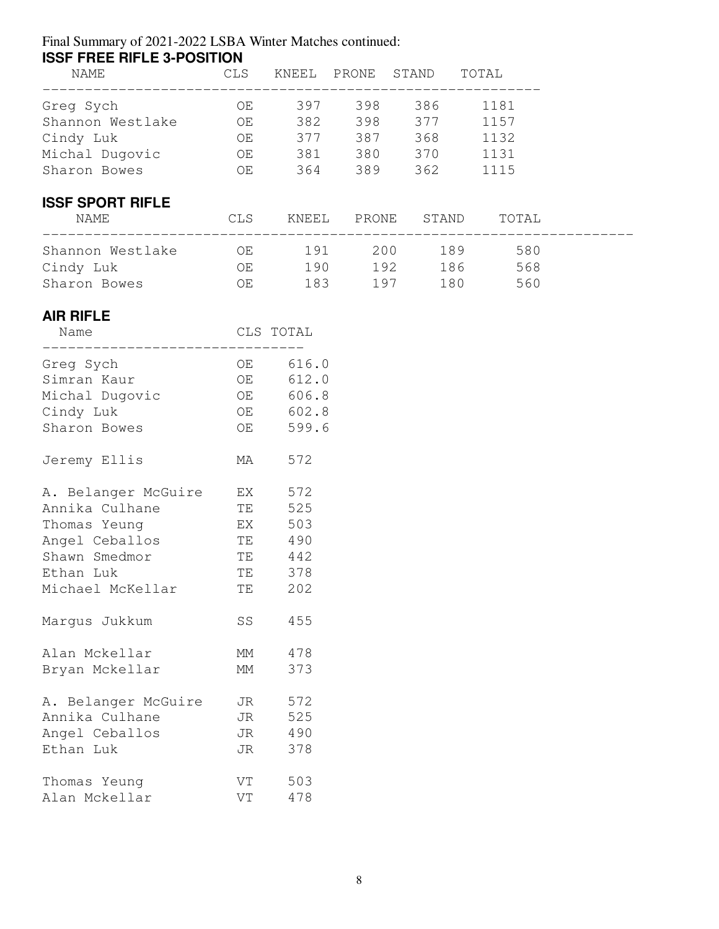| <b>ISSF FREE RIFLE 3-POSITION</b> |  |                           |                   |
|-----------------------------------|--|---------------------------|-------------------|
| 11 T 17 T 17 T 17                 |  | רוגגידים הזוגרות דההזוגזי | $M \cap T \cap T$ |

| NAME                    | CLS  | KNEEL | PRONE STAND |            | TOTAL. |
|-------------------------|------|-------|-------------|------------|--------|
| Greg Sych               | OE.  | 397   | 398         | 386        | 1181   |
| Shannon Westlake        | OE   | 382   | 398         | 377        | 1157   |
| Cindy Luk               | OE   | 377   | 387         | 368        | 1132   |
| Michal Dugovic          | OE   | 381   | 380         | 370        | 1131   |
| Sharon Bowes            | OE   | 364   | 389         | 362        | 1115   |
| <b>ISSF SPORT RIFLE</b> |      |       |             |            |        |
| NAME                    | CLS. | KNEEL | PRONE       | STAND      | TOTAL  |
| Shannon Westlake        | OE.  | 191   | 200         | 189        | 580    |
| Cindy Luk               | OE   | 190   |             | 192<br>186 | 568    |
| Sharon Bowes            | ΟE   | 183   | 197         | 180        | 560    |
|                         |      |       |             |            |        |

### **AIR RIFLE**

| Name                |           | CLS TOTAL |
|---------------------|-----------|-----------|
| Greg Sych           | OE        | 616.0     |
| Simran Kaur         | OE        | 612.0     |
| Michal Dugovic      | OE        | 606.8     |
| Cindy Luk           | OE        | 602.8     |
| Sharon Bowes        | OE        | 599.6     |
| Jeremy Ellis        | МA        | 572       |
| A. Belanger McGuire | EX        | 572       |
| Annika Culhane      | TE        | 525       |
| Thomas Yeung        | EX        | 503       |
| Angel Ceballos      | TE        | 490       |
| Shawn Smedmor       | <b>TE</b> | 442       |
| Ethan Luk           | TE        | 378       |
| Michael McKellar    | TE        | 202       |
| Margus Jukkum       | SS        | 455       |
| Alan Mckellar       | MМ        | 478       |
| Bryan Mckellar      | MМ        | 373       |
| A. Belanger McGuire | JR        | 572       |
| Annika Culhane      | JR        | 525       |
| Angel Ceballos      | JR        | 490       |
| Ethan Luk           | JR        | 378       |
| Thomas Yeung        | VT        | 503       |
| Alan Mckellar       | VT        | 478       |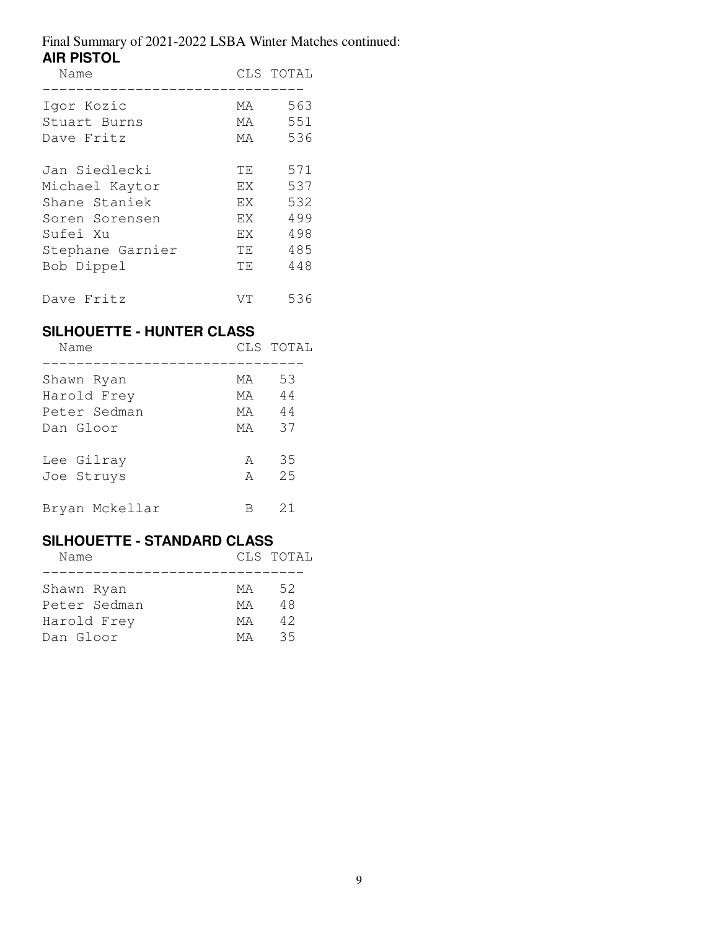| Name             |     | CLS TOTAL |
|------------------|-----|-----------|
| Igor Kozic       | MA. | 563       |
| Stuart Burns     | МA  | 551       |
| Dave Fritz       | МA  | 536       |
| Jan Siedlecki    | TE. | 571       |
| Michael Kaytor   | F.X | 537       |
| Shane Staniek    | F.X | 532       |
| Soren Sorensen   | EX  | 499       |
| Sufei Xu         | F.X | 498       |
| Stephane Garnier | TE. | 485       |
| Bob Dippel       | TE. | 448       |
| Dave Fritz       | VТ  | 536       |

### **SILHOUETTE - HUNTER CLASS**

| Name           |     | CLS TOTAL |
|----------------|-----|-----------|
| Shawn Ryan     | МA  | 53        |
| Harold Frey    | MA. | 44        |
| Peter Sedman   | МA  | 44        |
| Dan Gloor      | МA  | 37        |
| Lee Gilray     | A   | 35        |
| Joe Struys     | A   | 2.5       |
| Bryan Mckellar |     | 21        |

#### **SILHOUETTE - STANDARD CLASS**

| Name         |     | CLS TOTAL |
|--------------|-----|-----------|
|              |     |           |
| Shawn Ryan   | MA  | 52        |
| Peter Sedman | MA. | 48        |
| Harold Frey  | МA  | 42        |
| Dan Gloor    | MА  | 35        |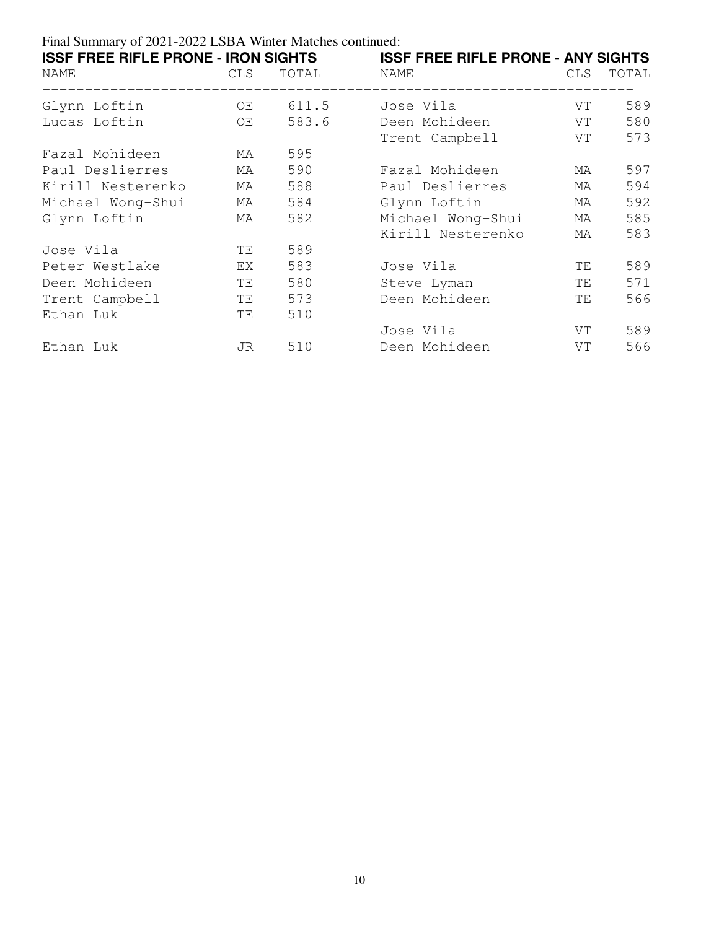| <b>ISSF FREE RIFLE PRONE - IRON SIGHTS</b><br>NAME<br>-------------------- | CLS | TOTAL | <b>ISSF FREE RIFLE PRONE - ANY SIGHTS</b><br>NAME<br>_______________________ | CLS | TOTAL |
|----------------------------------------------------------------------------|-----|-------|------------------------------------------------------------------------------|-----|-------|
| Glynn Loftin                                                               | OE  | 611.5 | Jose Vila                                                                    | VT  | 589   |
| Lucas Loftin                                                               | OE  | 583.6 | Deen Mohideen                                                                | VT  | 580   |
|                                                                            |     |       | Trent Campbell                                                               | VT  | 573   |
| Fazal Mohideen                                                             | МA  | 595   |                                                                              |     |       |
| Paul Deslierres                                                            | МA  | 590   | Fazal Mohideen                                                               | MA  | 597   |
| Kirill Nesterenko                                                          | МA  | 588   | Paul Deslierres                                                              | МA  | 594   |
| Michael Wong-Shui                                                          | МA  | 584   | Glynn Loftin                                                                 | МA  | 592   |
| Glynn Loftin                                                               | МA  | 582   | Michael Wong-Shui                                                            | МA  | 585   |
|                                                                            |     |       | Kirill Nesterenko                                                            | МA  | 583   |
| Jose Vila                                                                  | ΤE  | 589   |                                                                              |     |       |
| Peter Westlake                                                             | EX  | 583   | Jose Vila                                                                    | TE. | 589   |
| Deen Mohideen                                                              | ΤE  | 580   | Steve Lyman                                                                  | TE. | 571   |
| Trent Campbell                                                             | ΤE  | 573   | Deen Mohideen                                                                | ΤE  | 566   |
| Ethan Luk                                                                  | TΕ  | 510   |                                                                              |     |       |
|                                                                            |     |       | Jose Vila                                                                    | VT  | 589   |
| Ethan Luk                                                                  | JR. | 510   | Deen Mohideen                                                                | VT  | 566   |